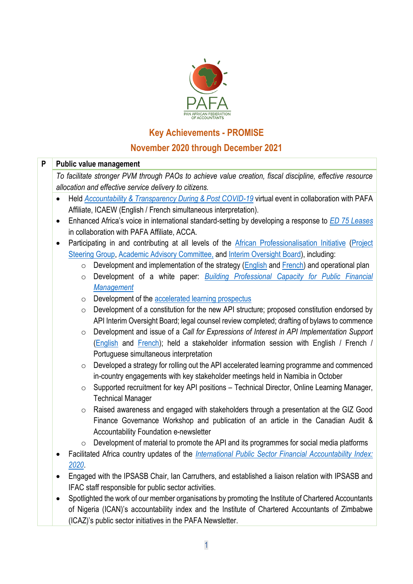

## **Key Achievements - PROMISE**

## **November 2020 through December 2021**

| P |                                                                                                          | <b>Public value management</b>                                                                                                                                                                          |  |  |  |
|---|----------------------------------------------------------------------------------------------------------|---------------------------------------------------------------------------------------------------------------------------------------------------------------------------------------------------------|--|--|--|
|   | To facilitate stronger PVM through PAOs to achieve value creation, fiscal discipline, effective resource |                                                                                                                                                                                                         |  |  |  |
|   | allocation and effective service delivery to citizens.                                                   |                                                                                                                                                                                                         |  |  |  |
|   | $\bullet$                                                                                                | Held Accountability & Transparency During & Post COVID-19 virtual event in collaboration with PAFA                                                                                                      |  |  |  |
|   |                                                                                                          | Affiliate, ICAEW (English / French simultaneous interpretation).                                                                                                                                        |  |  |  |
|   | $\bullet$                                                                                                | Enhanced Africa's voice in international standard-setting by developing a response to ED 75 Leases                                                                                                      |  |  |  |
|   |                                                                                                          | in collaboration with PAFA Affiliate, ACCA.                                                                                                                                                             |  |  |  |
|   | $\bullet$                                                                                                | Participating in and contributing at all levels of the African Professionalisation Initiative (Project                                                                                                  |  |  |  |
|   |                                                                                                          | Steering Group, Academic Advisory Committee, and Interim Oversight Board), including:                                                                                                                   |  |  |  |
|   |                                                                                                          | Development and implementation of the strategy (English and French) and operational plan<br>$\circ$                                                                                                     |  |  |  |
|   |                                                                                                          | Development of a white paper: <b>Building Professional Capacity for Public Financial</b><br>$\circ$                                                                                                     |  |  |  |
|   |                                                                                                          | <b>Management</b>                                                                                                                                                                                       |  |  |  |
|   |                                                                                                          | Development of the accelerated learning prospectus<br>$\circ$                                                                                                                                           |  |  |  |
|   |                                                                                                          | Development of a constitution for the new API structure; proposed constitution endorsed by<br>$\circ$                                                                                                   |  |  |  |
|   |                                                                                                          | API Interim Oversight Board; legal counsel review completed; drafting of bylaws to commence                                                                                                             |  |  |  |
|   |                                                                                                          | Development and issue of a Call for Expressions of Interest in API Implementation Support<br>$\circ$                                                                                                    |  |  |  |
|   |                                                                                                          | (English and French); held a stakeholder information session with English / French /                                                                                                                    |  |  |  |
|   |                                                                                                          | Portuguese simultaneous interpretation                                                                                                                                                                  |  |  |  |
|   |                                                                                                          | Developed a strategy for rolling out the API accelerated learning programme and commenced<br>$\circ$                                                                                                    |  |  |  |
|   |                                                                                                          | in-country engagements with key stakeholder meetings held in Namibia in October                                                                                                                         |  |  |  |
|   |                                                                                                          | Supported recruitment for key API positions - Technical Director, Online Learning Manager,<br>$\circ$                                                                                                   |  |  |  |
|   |                                                                                                          | <b>Technical Manager</b>                                                                                                                                                                                |  |  |  |
|   |                                                                                                          | Raised awareness and engaged with stakeholders through a presentation at the GIZ Good<br>$\circ$                                                                                                        |  |  |  |
|   |                                                                                                          | Finance Governance Workshop and publication of an article in the Canadian Audit &                                                                                                                       |  |  |  |
|   |                                                                                                          | Accountability Foundation e-newsletter                                                                                                                                                                  |  |  |  |
|   |                                                                                                          | Development of material to promote the API and its programmes for social media platforms<br>$\circ$                                                                                                     |  |  |  |
|   |                                                                                                          | Facilitated Africa country updates of the <i>International Public Sector Financial Accountability Index:</i>                                                                                            |  |  |  |
|   |                                                                                                          | 2020.                                                                                                                                                                                                   |  |  |  |
|   |                                                                                                          | Engaged with the IPSASB Chair, Ian Carruthers, and established a liaison relation with IPSASB and                                                                                                       |  |  |  |
|   |                                                                                                          | IFAC staff responsible for public sector activities.                                                                                                                                                    |  |  |  |
|   |                                                                                                          | Spotlighted the work of our member organisations by promoting the Institute of Chartered Accountants<br>of Nigeria (ICAN)'s accountability index and the Institute of Chartered Accountants of Zimbabwe |  |  |  |
|   |                                                                                                          |                                                                                                                                                                                                         |  |  |  |
|   |                                                                                                          | (ICAZ)'s public sector initiatives in the PAFA Newsletter.                                                                                                                                              |  |  |  |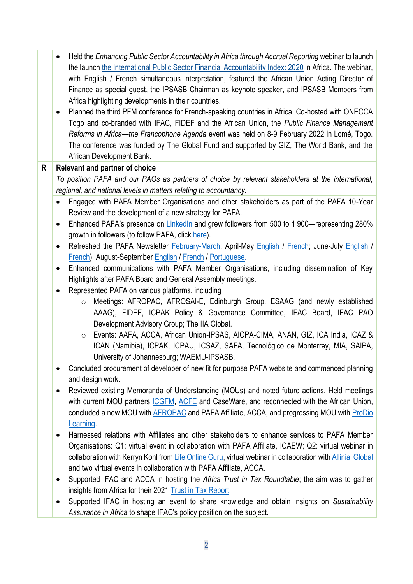• Held the *Enhancing Public Sector Accountability in Africa through Accrual Reporting* webinar to launch the launch [the International Public Sector Financial Accountability Index: 2020](https://www.ifac.org/knowledge-gateway/supporting-international-standards/discussion/international-public-sector-financial-accountability-index-2020) in Africa. The webinar, with English / French simultaneous interpretation, featured the African Union Acting Director of Finance as special guest, the IPSASB Chairman as keynote speaker, and IPSASB Members from Africa highlighting developments in their countries.

• Planned the third PFM conference for French-speaking countries in Africa. Co-hosted with ONECCA Togo and co-branded with IFAC, FIDEF and the African Union, the *Public Finance Management Reforms in Africa—the Francophone Agenda* event was held on 8-9 February 2022 in Lomé, Togo. The conference was funded by The Global Fund and supported by GIZ, The World Bank, and the African Development Bank.

## **R Relevant and partner of choice**

*To position PAFA and our PAOs as partners of choice by relevant stakeholders at the international, regional, and national levels in matters relating to accountancy.*

- Engaged with PAFA Member Organisations and other stakeholders as part of the PAFA 10-Year Review and the development of a new strategy for PAFA.
- Enhanced PAFA's presence on [LinkedIn](https://www.linkedin.com/company/panafrican-federation-of-accountants/?viewAsMember=true) and grew followers from 500 to 1 900—representing 280% arowth in followers (to follow PAFA, click [here\)](https://www.linkedin.com/company/panafrican-federation-of-accountants).
- Refreshed the PAFA Newsletter [February-March;](https://www.linkedin.com/feed/update/urn:li:activity:6788200006659661825) April-May [English](https://www.linkedin.com/feed/update/urn:li:activity:6806532375648989184) / [French;](https://www.linkedin.com/feed/update/urn:li:activity:6806532743791448064) June-July [English](https://www.linkedin.com/feed/update/urn:li:activity:6828656221302616064) / [French\)](https://www.linkedin.com/feed/update/urn:li:activity:6828687279121289216); August-September [English](https://www.linkedin.com/feed/update/urn:li:activity:6851829019541946368) / [French](https://www.linkedin.com/feed/update/urn:li:activity:6851795210360492032) / [Portuguese.](https://www.linkedin.com/feed/update/urn:li:activity:6851833412332994560)
- Enhanced communications with PAFA Member Organisations, including dissemination of Key Highlights after PAFA Board and General Assembly meetings.
- Represented PAFA on various platforms, including
	- o Meetings: AFROPAC, AFROSAI-E, Edinburgh Group, ESAAG (and newly established AAAG), FIDEF, ICPAK Policy & Governance Committee, IFAC Board, IFAC PAO Development Advisory Group; The IIA Global.
	- o Events: AAFA, ACCA, African Union-IPSAS, AICPA-CIMA, ANAN, GIZ, ICA India, ICAZ & ICAN (Namibia), ICPAK, ICPAU, ICSAZ, SAFA, Tecnológico de Monterrey, MIA, SAIPA, University of Johannesburg; WAEMU-IPSASB.
- Concluded procurement of developer of new fit for purpose PAFA website and commenced planning and design work.
- Reviewed existing Memoranda of Understanding (MOUs) and noted future actions. Held meetings with current MOU partners [ICGFM,](https://www.icgfm.org/) [ACFE](https://www.acfesa.co.za/) and CaseWare, and reconnected with the African Union, concluded a new MOU with [AFROPAC](https://www.afropac.net/) and PAFA Affiliate, ACCA, and progressing MOU with ProDio [Learning.](https://www.prodiolearning.com/)
- Harnessed relations with Affiliates and other stakeholders to enhance services to PAFA Member Organisations: Q1: virtual event in collaboration with PAFA Affiliate, ICAEW; Q2: virtual webinar in collaboration with Kerryn Kohl fro[m Life Online Guru,](https://life-online.com.au/) virtual webinar in collaboration wit[h Allinial Global](https://www.allinialglobal.com/) and two virtual events in collaboration with PAFA Affiliate, ACCA.
- Supported IFAC and ACCA in hosting the *Africa Trust in Tax Roundtable*; the aim was to gather insights from Africa for their 2021 [Trust in Tax Report.](https://www.ifac.org/knowledge-gateway/developing-accountancy-profession/publications/public-trust-tax-surveying-public-trust-g20-tax-systems)
- Supported IFAC in hosting an event to share knowledge and obtain insights on *Sustainability Assurance in Africa* to shape IFAC's policy position on the subject.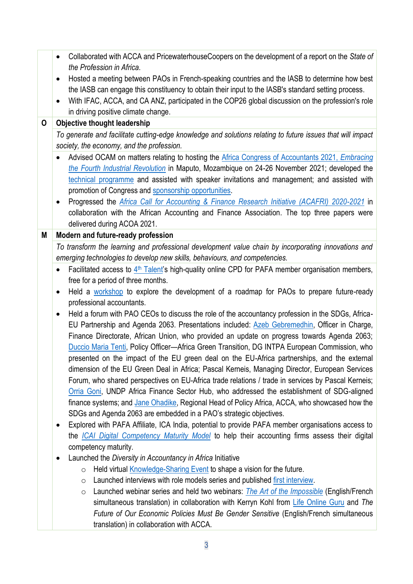|   | Collaborated with ACCA and PricewaterhouseCoopers on the development of a report on the State of<br>$\bullet$                                           |
|---|---------------------------------------------------------------------------------------------------------------------------------------------------------|
|   | the Profession in Africa.                                                                                                                               |
|   | Hosted a meeting between PAOs in French-speaking countries and the IASB to determine how best                                                           |
|   | the IASB can engage this constituency to obtain their input to the IASB's standard setting process.                                                     |
|   | With IFAC, ACCA, and CA ANZ, participated in the COP26 global discussion on the profession's role                                                       |
|   | in driving positive climate change.                                                                                                                     |
| 0 | <b>Objective thought leadership</b>                                                                                                                     |
|   | To generate and facilitate cutting-edge knowledge and solutions relating to future issues that will impact<br>society, the economy, and the profession. |
|   | Advised OCAM on matters relating to hosting the Africa Congress of Accountants 2021, Embracing                                                          |
|   | the Fourth Industrial Revolution in Maputo, Mozambique on 24-26 November 2021; developed the                                                            |
|   | technical programme and assisted with speaker invitations and management; and assisted with                                                             |
|   | promotion of Congress and sponsorship opportunities.                                                                                                    |
|   | Progressed the Africa Call for Accounting & Finance Research Initiative (ACAFRI) 2020-2021 in<br>٠                                                      |
|   | collaboration with the African Accounting and Finance Association. The top three papers were                                                            |
|   | delivered during ACOA 2021.                                                                                                                             |
| M | Modern and future-ready profession                                                                                                                      |
|   | To transform the learning and professional development value chain by incorporating innovations and                                                     |
|   | emerging technologies to develop new skills, behaviours, and competencies.                                                                              |
|   | Facilitated access to 4 <sup>th</sup> Talent's high-quality online CPD for PAFA member organisation members,<br>$\bullet$                               |
|   | free for a period of three months.                                                                                                                      |
|   | Held a workshop to explore the development of a roadmap for PAOs to prepare future-ready<br>٠                                                           |
|   | professional accountants.                                                                                                                               |
|   | Held a forum with PAO CEOs to discuss the role of the accountancy profession in the SDGs, Africa-<br>$\bullet$                                          |
|   | EU Partnership and Agenda 2063. Presentations included: Azeb Gebremedhin, Officer in Charge,                                                            |
|   | Finance Directorate, African Union, who provided an update on progress towards Agenda 2063;                                                             |
|   | Duccio Maria Tenti, Policy Officer-Africa Green Transition, DG INTPA European Commission, who                                                           |
|   | presented on the impact of the EU green deal on the EU-Africa partnerships, and the external                                                            |
|   | dimension of the EU Green Deal in Africa; Pascal Kerneis, Managing Director, European Services                                                          |
|   | Forum, who shared perspectives on EU-Africa trade relations / trade in services by Pascal Kerneis;                                                      |
|   | Orria Goni, UNDP Africa Finance Sector Hub, who addressed the establishment of SDG-aligned                                                              |
|   | finance systems; and Jane Ohadike, Regional Head of Policy Africa, ACCA, who showcased how the                                                          |
|   | SDGs and Agenda 2063 are embedded in a PAO's strategic objectives.                                                                                      |
|   | Explored with PAFA Affiliate, ICA India, potential to provide PAFA member organisations access to<br>٠                                                  |
|   | the <i>ICAI Digital Competency Maturity Model</i> to help their accounting firms assess their digital                                                   |
|   | competency maturity.<br>Launched the Diversity in Accountancy in Africa Initiative                                                                      |
|   | ٠<br>Held virtual <b>Knowledge-Sharing Event</b> to shape a vision for the future.<br>$\circ$                                                           |
|   | Launched interviews with role models series and published first interview.                                                                              |
|   | $\circ$<br>Launched webinar series and held two webinars: The Art of the Impossible (English/French                                                     |
|   | $\circ$<br>simultaneous translation) in collaboration with Kerryn Kohl from Life Online Guru and The                                                    |
|   | Future of Our Economic Policies Must Be Gender Sensitive (English/French simultaneous                                                                   |
|   |                                                                                                                                                         |
|   | translation) in collaboration with ACCA.                                                                                                                |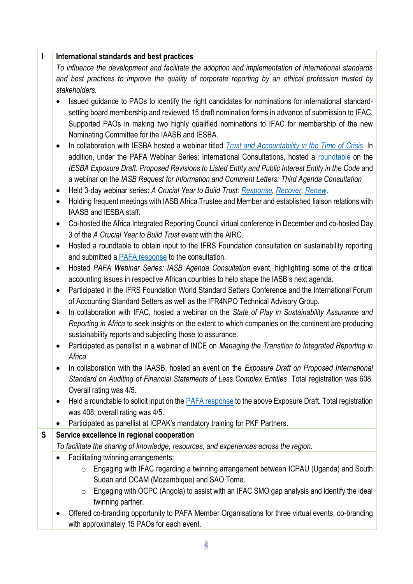| I | International standards and best practices                                                                                                                                                                                                                                                                                                                                                                                                                                               |  |  |
|---|------------------------------------------------------------------------------------------------------------------------------------------------------------------------------------------------------------------------------------------------------------------------------------------------------------------------------------------------------------------------------------------------------------------------------------------------------------------------------------------|--|--|
|   | To influence the development and facilitate the adoption and implementation of international standards                                                                                                                                                                                                                                                                                                                                                                                   |  |  |
|   | and best practices to improve the quality of corporate reporting by an ethical profession trusted by                                                                                                                                                                                                                                                                                                                                                                                     |  |  |
|   | stakeholders.                                                                                                                                                                                                                                                                                                                                                                                                                                                                            |  |  |
|   | Issued guidance to PAOs to identify the right candidates for nominations for international standard-<br>setting board membership and reviewed 15 draft nomination forms in advance of submission to IFAC.<br>Supported PAOs in making two highly qualified nominations to IFAC for membership of the new<br>Nominating Committee for the IAASB and IESBA.<br>In collaboration with IESBA hosted a webinar titled <i>Trust and Accountability in the Time of Crisis</i> . In<br>$\bullet$ |  |  |
|   | addition, under the PAFA Webinar Series: International Consultations, hosted a roundtable on the<br>IESBA Exposure Draft: Proposed Revisions to Listed Entity and Public Interest Entity in the Code and<br>a webinar on the IASB Request for Information and Comment Letters: Third Agenda Consultation<br>Held 3-day webinar series: A Crucial Year to Build Trust: Response, Recover, Renew.                                                                                          |  |  |
|   | Holding frequent meetings with IASB Africa Trustee and Member and established liaison relations with<br>$\bullet$<br>IAASB and IESBA staff.                                                                                                                                                                                                                                                                                                                                              |  |  |
|   | Co-hosted the Africa Integrated Reporting Council virtual conference in December and co-hosted Day<br>3 of the A Crucial Year to Build Trust event with the AIRC.                                                                                                                                                                                                                                                                                                                        |  |  |
|   | Hosted a roundtable to obtain input to the IFRS Foundation consultation on sustainability reporting<br>$\bullet$<br>and submitted a PAFA response to the consultation.                                                                                                                                                                                                                                                                                                                   |  |  |
|   | Hosted PAFA Webinar Series: IASB Agenda Consultation event, highlighting some of the critical<br>$\bullet$<br>accounting issues in respective African countries to help shape the IASB's next agenda.                                                                                                                                                                                                                                                                                    |  |  |
|   | Participated in the IFRS Foundation World Standard Setters Conference and the International Forum<br>$\bullet$<br>of Accounting Standard Setters as well as the IFR4NPO Technical Advisory Group.                                                                                                                                                                                                                                                                                        |  |  |
|   | In collaboration with IFAC, hosted a webinar on the State of Play in Sustainability Assurance and<br>$\bullet$<br>Reporting in Africa to seek insights on the extent to which companies on the continent are producing                                                                                                                                                                                                                                                                   |  |  |
|   | sustainability reports and subjecting those to assurance.<br>Participated as panellist in a webinar of INCE on Managing the Transition to Integrated Reporting in<br>٠<br>Africa.                                                                                                                                                                                                                                                                                                        |  |  |
|   | In collaboration with the IAASB, hosted an event on the Exposure Draft on Proposed International<br>Standard on Auditing of Financial Statements of Less Complex Entities. Total registration was 608.<br>Overall rating was 4/5.                                                                                                                                                                                                                                                        |  |  |
|   | Held a roundtable to solicit input on the <b>PAFA</b> response to the above Exposure Draft. Total registration<br>$\bullet$<br>was 408; overall rating was 4/5.                                                                                                                                                                                                                                                                                                                          |  |  |
|   | Participated as panellist at ICPAK's mandatory training for PKF Partners.                                                                                                                                                                                                                                                                                                                                                                                                                |  |  |
| S | Service excellence in regional cooperation                                                                                                                                                                                                                                                                                                                                                                                                                                               |  |  |
|   | To facilitate the sharing of knowledge, resources, and experiences across the region.                                                                                                                                                                                                                                                                                                                                                                                                    |  |  |
|   | Facilitating twinning arrangements:                                                                                                                                                                                                                                                                                                                                                                                                                                                      |  |  |
|   | Engaging with IFAC regarding a twinning arrangement between ICPAU (Uganda) and South<br>$\circ$<br>Sudan and OCAM (Mozambique) and SAO Tome.                                                                                                                                                                                                                                                                                                                                             |  |  |
|   | Engaging with OCPC (Angola) to assist with an IFAC SMO gap analysis and identify the ideal<br>$\circ$<br>twinning partner.                                                                                                                                                                                                                                                                                                                                                               |  |  |
|   | Offered co-branding opportunity to PAFA Member Organisations for three virtual events, co-branding<br>with approximately 15 PAOs for each event.                                                                                                                                                                                                                                                                                                                                         |  |  |
|   |                                                                                                                                                                                                                                                                                                                                                                                                                                                                                          |  |  |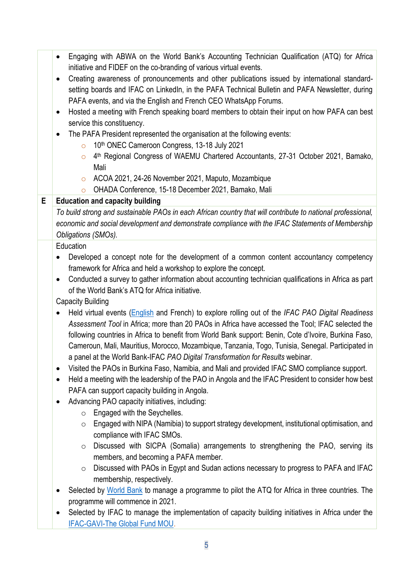|   | Engaging with ABWA on the World Bank's Accounting Technician Qualification (ATQ) for Africa<br>$\bullet$                                                             |
|---|----------------------------------------------------------------------------------------------------------------------------------------------------------------------|
|   | initiative and FIDEF on the co-branding of various virtual events.                                                                                                   |
|   | Creating awareness of pronouncements and other publications issued by international standard-<br>$\bullet$                                                           |
|   | setting boards and IFAC on LinkedIn, in the PAFA Technical Bulletin and PAFA Newsletter, during                                                                      |
|   | PAFA events, and via the English and French CEO WhatsApp Forums.                                                                                                     |
|   | Hosted a meeting with French speaking board members to obtain their input on how PAFA can best<br>$\bullet$                                                          |
|   | service this constituency.                                                                                                                                           |
|   | The PAFA President represented the organisation at the following events:                                                                                             |
|   | 10th ONEC Cameroon Congress, 13-18 July 2021<br>$\circ$                                                                                                              |
|   | 4 <sup>th</sup> Regional Congress of WAEMU Chartered Accountants, 27-31 October 2021, Bamako,<br>$\circ$                                                             |
|   | Mali                                                                                                                                                                 |
|   | ACOA 2021, 24-26 November 2021, Maputo, Mozambique<br>$\circ$                                                                                                        |
|   | OHADA Conference, 15-18 December 2021, Bamako, Mali<br>$\circ$                                                                                                       |
| Е | <b>Education and capacity building</b>                                                                                                                               |
|   | To build strong and sustainable PAOs in each African country that will contribute to national professional,                                                          |
|   | economic and social development and demonstrate compliance with the IFAC Statements of Membership                                                                    |
|   | Obligations (SMOs).                                                                                                                                                  |
|   | Education                                                                                                                                                            |
|   | Developed a concept note for the development of a common content accountancy competency                                                                              |
|   | framework for Africa and held a workshop to explore the concept.                                                                                                     |
|   | Conducted a survey to gather information about accounting technician qualifications in Africa as part<br>$\bullet$<br>of the World Bank's ATQ for Africa initiative. |
|   | <b>Capacity Building</b>                                                                                                                                             |
|   | Held virtual events (English and French) to explore rolling out of the IFAC PAO Digital Readiness                                                                    |
|   | $\bullet$<br>Assessment Tool in Africa; more than 20 PAOs in Africa have accessed the Tool; IFAC selected the                                                        |
|   | following countries in Africa to benefit from World Bank support: Benin, Cote d'Ivoire, Burkina Faso,                                                                |
|   | Cameroun, Mali, Mauritius, Morocco, Mozambique, Tanzania, Togo, Tunisia, Senegal. Participated in                                                                    |
|   | a panel at the World Bank-IFAC PAO Digital Transformation for Results webinar.                                                                                       |
|   |                                                                                                                                                                      |
|   | Visited the PAOs in Burkina Faso, Namibia, and Mali and provided IFAC SMO compliance support.<br>٠                                                                   |
|   | Held a meeting with the leadership of the PAO in Angola and the IFAC President to consider how best<br>٠<br>PAFA can support capacity building in Angola.            |
|   |                                                                                                                                                                      |
|   | Advancing PAO capacity initiatives, including:                                                                                                                       |
|   | Engaged with the Seychelles.<br>$\circ$                                                                                                                              |
|   | Engaged with NIPA (Namibia) to support strategy development, institutional optimisation, and<br>$\circ$<br>compliance with IFAC SMOs.                                |
|   | Discussed with SICPA (Somalia) arrangements to strengthening the PAO, serving its                                                                                    |
|   | $\circ$                                                                                                                                                              |
|   | members, and becoming a PAFA member.<br>Discussed with PAOs in Egypt and Sudan actions necessary to progress to PAFA and IFAC                                        |
|   | $\circ$<br>membership, respectively.                                                                                                                                 |
|   |                                                                                                                                                                      |
|   | Selected by World Bank to manage a programme to pilot the ATQ for Africa in three countries. The<br>programme will commence in 2021.                                 |
|   |                                                                                                                                                                      |
|   | Selected by IFAC to manage the implementation of capacity building initiatives in Africa under the<br>٠                                                              |
|   | <b>IFAC-GAVI-The Global Fund MOU.</b>                                                                                                                                |